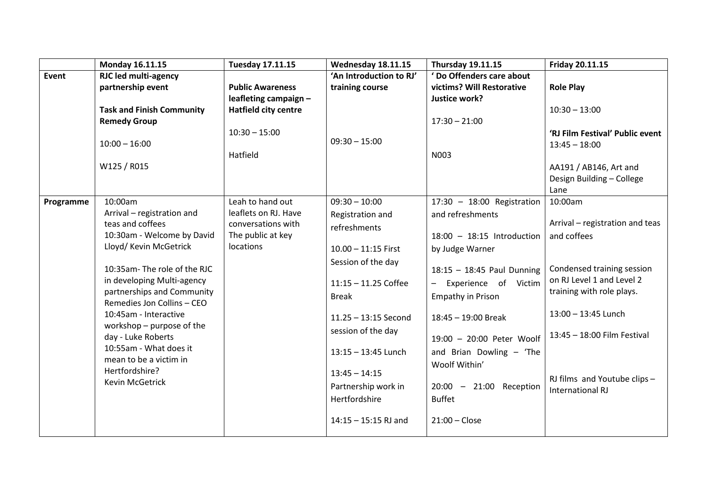|           | Monday 16.11.15                                      | <b>Tuesday 17.11.15</b>        | Wednesday 18.11.15      | <b>Thursday 19.11.15</b>                         | Friday 20.11.15                 |
|-----------|------------------------------------------------------|--------------------------------|-------------------------|--------------------------------------------------|---------------------------------|
| Event     | <b>RJC led multi-agency</b>                          |                                | 'An Introduction to RJ' | ' Do Offenders care about                        |                                 |
|           | partnership event                                    | <b>Public Awareness</b>        | training course         | victims? Will Restorative                        | <b>Role Play</b>                |
|           |                                                      | leafleting campaign -          |                         | Justice work?                                    |                                 |
|           | <b>Task and Finish Community</b>                     | <b>Hatfield city centre</b>    |                         |                                                  | $10:30 - 13:00$                 |
|           | <b>Remedy Group</b>                                  |                                |                         | $17:30 - 21:00$                                  |                                 |
|           |                                                      | $10:30 - 15:00$                | $09:30 - 15:00$         |                                                  | 'RJ Film Festival' Public event |
|           | $10:00 - 16:00$                                      |                                |                         |                                                  | $13:45 - 18:00$                 |
|           |                                                      | Hatfield                       |                         | N003                                             |                                 |
|           | W125 / R015                                          |                                |                         |                                                  | AA191 / AB146, Art and          |
|           |                                                      |                                |                         |                                                  | Design Building - College       |
|           |                                                      |                                |                         |                                                  | Lane                            |
| Programme | 10:00am                                              | Leah to hand out               | $09:30 - 10:00$         | $17:30 - 18:00$ Registration                     | 10:00am                         |
|           | Arrival - registration and                           | leaflets on RJ. Have           | Registration and        | and refreshments                                 | Arrival - registration and teas |
|           | teas and coffees                                     | conversations with             | refreshments            |                                                  |                                 |
|           | 10:30am - Welcome by David<br>Lloyd/ Kevin McGetrick | The public at key<br>locations |                         | $18:00 - 18:15$ Introduction                     | and coffees                     |
|           |                                                      |                                | $10.00 - 11:15$ First   | by Judge Warner                                  |                                 |
|           | 10:35am-The role of the RJC                          |                                | Session of the day      | 18:15 - 18:45 Paul Dunning                       | Condensed training session      |
|           | in developing Multi-agency                           |                                |                         |                                                  | on RJ Level 1 and Level 2       |
|           | partnerships and Community                           |                                | $11:15 - 11.25$ Coffee  | Experience of Victim<br>$\overline{\phantom{0}}$ | training with role plays.       |
|           | Remedies Jon Collins - CEO                           |                                | <b>Break</b>            | Empathy in Prison                                |                                 |
|           | 10:45am - Interactive                                |                                | $11.25 - 13:15$ Second  | 18:45 - 19:00 Break                              | 13:00 - 13:45 Lunch             |
|           | workshop $-$ purpose of the<br>day - Luke Roberts    |                                | session of the day      | 19:00 - 20:00 Peter Woolf                        | 13:45 - 18:00 Film Festival     |
|           | 10:55am - What does it                               |                                | $13:15 - 13:45$ Lunch   | and Brian Dowling - 'The                         |                                 |
|           | mean to be a victim in                               |                                |                         | Woolf Within'                                    |                                 |
|           | Hertfordshire?                                       |                                | $13:45 - 14:15$         |                                                  | RJ films and Youtube clips -    |
|           | Kevin McGetrick                                      |                                | Partnership work in     | 20:00 - 21:00 Reception                          | <b>International RJ</b>         |
|           |                                                      |                                | Hertfordshire           | <b>Buffet</b>                                    |                                 |
|           |                                                      |                                | $14:15 - 15:15$ RJ and  | $21:00$ - Close                                  |                                 |